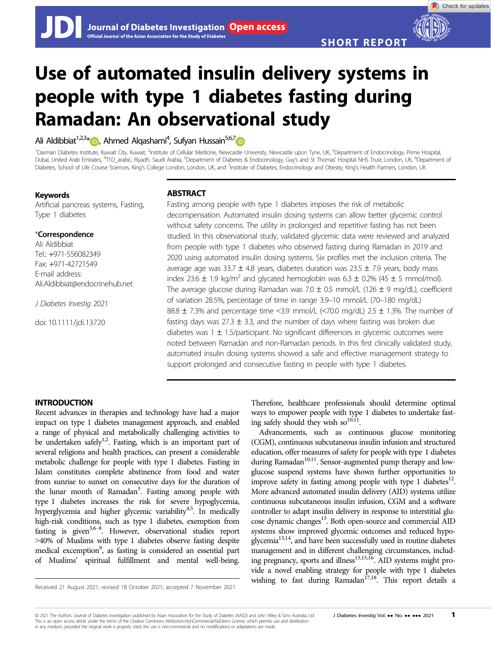Check for updates

# Use of automated insulin delivery systems in people with type 1 diabetes fasting during Ramadan: An observational study

Ali Aldibbiat<sup>1,2,3</sup>[\\*](https://orcid.org/0000-0002-1493-4571) <sub>D</sub>, Ahmed Alqashami<sup>4</sup>, Sufyan Hussain<sup>5,6,[7](https://orcid.org/0000-0001-6611-8245)</sup>

<sup>1</sup>Dasman Diabetes Institute, Kuwait City, Kuwait, <sup>2</sup>Institute of Cellular Medicine, Newcastle University, Newcastle upon Tyne, UK, <sup>3</sup>Department of Endocrinology, Prime Hospital Dubai, United Arab Emirates, <sup>4</sup>T1D\_arabic, Riyadh, Saudi Arabia, <sup>5</sup>Department of Diabetes & Endocrinology, Guy's and St Thomas' Hospital NHS Trust, London, UK, <sup>6</sup>Department of Diabetes, School of Life Course Sciences, King's College London, London, UK, and <sup>7</sup>Institute of Diabetes, Endocrinology and Obesity, King's Health Partners, London, UK

## Keywords

Artificial pancreas systems, Fasting, Type 1 diabetes

## \*Correspondence

Ali Aldibbiat Tel.: +971-556082349 Fax: +971-42721549 E-mail address: Ali.Aldibbiat@endocrinehub.net

J Diabetes Investig 2021

doi: 10.1111/jdi.13720

# **ABSTRACT**

Fasting among people with type 1 diabetes imposes the risk of metabolic decompensation. Automated insulin dosing systems can allow better glycemic control without safety concerns. The utility in prolonged and repetitive fasting has not been studied. In this observational study, validated glycemic data were reviewed and analyzed from people with type 1 diabetes who observed fasting during Ramadan in 2019 and 2020 using automated insulin dosing systems. Six profiles met the inclusion criteria. The average age was 33.7  $\pm$  4.8 years, diabetes duration was 23.5  $\pm$  7.9 years, body mass index 23.6  $\pm$  1.9 kg/m<sup>2</sup> and glycated hemoglobin was 6.3  $\pm$  0.2% (45  $\pm$  5 mmol/mol). The average glucose during Ramadan was 7.0  $\pm$  0.5 mmol/L (126  $\pm$  9 mg/dL), coefficient of variation 28.5%, percentage of time in range 3.9–10 mmol/L (70–180 mg/dL) 88.8  $\pm$  7.3% and percentage time <3.9 mmol/L (<70.0 mg/dL) 2.5  $\pm$  1.3%. The number of fasting days was  $27.3 \pm 3.3$ , and the number of days where fasting was broken due diabetes was  $1 \pm 1.5$ /participant. No significant differences in glycemic outcomes were noted between Ramadan and non-Ramadan periods. In this first clinically validated study, automated insulin dosing systems showed a safe and effective management strategy to support prolonged and consecutive fasting in people with type 1 diabetes.

# INTRODUCTION

Recent advances in therapies and technology have had a major impact on type 1 diabetes management approach, and enabled a range of physical and metabolically challenging activities to be undertaken safely<sup>1,2</sup>. Fasting, which is an important part of several religions and health practices, can present a considerable metabolic challenge for people with type 1 diabetes. Fasting in Islam constitutes complete abstinence from food and water from sunrise to sunset on consecutive days for the duration of the lunar month of Ramadan<sup>3</sup>. Fasting among people with type 1 diabetes increases the risk for severe hypoglycemia, hyperglycemia and higher glycemic variability<sup>4,5</sup>. In medically high-risk conditions, such as type 1 diabetes, exemption from fasting is given<sup>3,6–8</sup>. However, observational studies report >40% of Muslims with type 1 diabetes observe fasting despite medical excemption<sup>9</sup>, as fasting is considered an essential part of Muslims' spiritual fulfillment and mental well-being.

Therefore, healthcare professionals should determine optimal ways to empower people with type 1 diabetes to undertake fasting safely should they wish so $^{10,\overline{11}}$ .

Advancements, such as continuous glucose monitoring (CGM), continuous subcutaneous insulin infusion and structured education, offer measures of safety for people with type 1 diabetes during Ramadan<sup>10,11</sup>. Sensor-augmented pump therapy and lowglucose suspend systems have shown further opportunities to improve safety in fasting among people with type 1 diabetes<sup>12</sup>. More advanced automated insulin delivery (AID) systems utilize continuous subcutaneous insulin infusion, CGM and a software controller to adapt insulin delivery in response to interstitial glucose dynamic changes<sup>13</sup>. Both open-source and commercial AID systems show improved glycemic outcomes and reduced hypoglycemia<sup>13,14</sup>, and have been successfully used in routine diabetes management and in different challenging circumstances, including pregnancy, sports and illness<sup>13,15,16</sup>. AID systems might provide a novel enabling strategy for people with type 1 diabetes Received 21 August 2021; revised 18 October 2021; accepted 7 November 2021 **wishing to fast during Ramadan<sup>17,18</sup>. This report details a** 

© 2021 The Authors. Journal of Diabetes Investigation published by Asian Association for the Study of Diabetes (AASD) and John Wiley & Sons Australia, Ltd J Diabetes Investig Vol. ... No. ... 2021 1 This is an open access article under the terms of the [Creative Commons Attribution-NonCommercial-NoDerivs](http://creativecommons.org/licenses/by-nc-nd/4.0/) License, which permits use and distribution in any medium, provided the original work is properly cited, the use is non-commercial and no modifications or adaptations are made.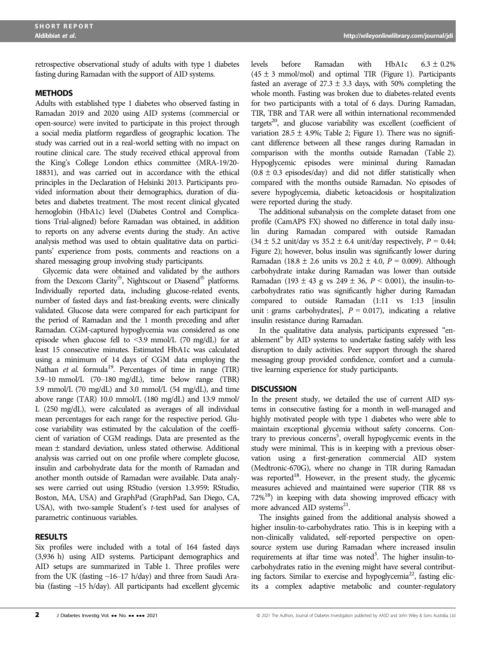retrospective observational study of adults with type 1 diabetes fasting during Ramadan with the support of AID systems.

#### **METHODS**

Adults with established type 1 diabetes who observed fasting in Ramadan 2019 and 2020 using AID systems (commercial or open-source) were invited to participate in this project through a social media platform regardless of geographic location. The study was carried out in a real-world setting with no impact on routine clinical care. The study received ethical approval from the King's College London ethics committee (MRA-19/20- 18831), and was carried out in accordance with the ethical principles in the Declaration of Helsinki 2013. Participants provided information about their demographics, duration of diabetes and diabetes treatment. The most recent clinical glycated hemoglobin (HbA1c) level (Diabetes Control and Complications Trial-aligned) before Ramadan was obtained, in addition to reports on any adverse events during the study. An active analysis method was used to obtain qualitative data on participants' experience from posts, comments and reactions on a shared messaging group involving study participants.

Glycemic data were obtained and validated by the authors from the Dexcom Clarity®, Nightscout or Diasend® platforms. Individually reported data, including glucose-related events, number of fasted days and fast-breaking events, were clinically validated. Glucose data were compared for each participant for the period of Ramadan and the 1 month preceding and after Ramadan. CGM-captured hypoglycemia was considered as one episode when glucose fell to <3.9 mmol/L (70 mg/dL) for at least 15 consecutive minutes. Estimated HbA1c was calculated using a minimum of 14 days of CGM data employing the Nathan et al. formula<sup>19</sup>. Percentages of time in range (TIR) 3.9–10 mmol/L (70–180 mg/dL), time below range (TBR) 3.9 mmol/L (70 mg/dL) and 3.0 mmol/L (54 mg/dL), and time above range (TAR) 10.0 mmol/L (180 mg/dL) and 13.9 mmol/ L (250 mg/dL), were calculated as averages of all individual mean percentages for each range for the respective period. Glucose variability was estimated by the calculation of the coefficient of variation of CGM readings. Data are presented as the mean  $\pm$  standard deviation, unless stated otherwise. Additional analysis was carried out on one profile where complete glucose, insulin and carbohydrate data for the month of Ramadan and another month outside of Ramadan were available. Data analyses were carried out using RStudio (version 1.3.959; RStudio, Boston, MA, USA) and GraphPad (GraphPad, San Diego, CA, USA), with two-sample Student's t-test used for analyses of parametric continuous variables.

#### RESULTS

Six profiles were included with a total of 164 fasted days (3,936 h) using AID systems. Participant demographics and AID setups are summarized in Table 1. Three profiles were from the UK (fasting ~16–17 h/day) and three from Saudi Arabia (fasting ~15 h/day). All participants had excellent glycemic levels before Ramadan with HbA1c  $6.3 \pm 0.2\%$  $(45 \pm 3 \text{ mmol/mol})$  and optimal TIR (Figure 1). Participants fasted an average of  $27.3 \pm 3.3$  days, with 50% completing the whole month. Fasting was broken due to diabetes-related events for two participants with a total of 6 days. During Ramadan, TIR, TBR and TAR were all within international recommended targets<sup>20</sup>, and glucose variability was excellent (coefficient of variation 28.5  $\pm$  4.9%; Table 2; Figure 1). There was no significant difference between all these ranges during Ramadan in comparison with the months outside Ramadan (Table 2). Hypoglycemic episodes were minimal during Ramadan  $(0.8 \pm 0.3 \text{ episodes/day})$  and did not differ statistically when compared with the months outside Ramadan. No episodes of severe hypoglycemia, diabetic ketoacidosis or hospitalization were reported during the study.

The additional subanalysis on the complete dataset from one profile (CamAPS FX) showed no difference in total daily insulin during Ramadan compared with outside Ramadan  $(34 \pm 5.2 \text{ unit/day vs } 35.2 \pm 6.4 \text{ unit/day respectively, } P = 0.44;$ Figure 2); however, bolus insulin was significantly lower during Ramadan (18.8  $\pm$  2.6 units vs 20.2  $\pm$  4.0,  $P = 0.009$ ). Although carbohydrate intake during Ramadan was lower than outside Ramadan (193 ± 43 g vs 249 ± 36,  $P < 0.001$ ), the insulin-tocarbohydrates ratio was significantly higher during Ramadan compared to outside Ramadan (1:11 vs 1:13 [insulin unit : grams carbohydrates],  $P = 0.017$ ), indicating a relative insulin resistance during Ramadan.

In the qualitative data analysis, participants expressed "enablement" by AID systems to undertake fasting safely with less disruption to daily activities. Peer support through the shared messaging group provided confidence, comfort and a cumulative learning experience for study participants.

#### **DISCUSSION**

In the present study, we detailed the use of current AID systems in consecutive fasting for a month in well-managed and highly motivated people with type 1 diabetes who were able to maintain exceptional glycemia without safety concerns. Contrary to previous concerns<sup>5</sup>, overall hypoglycemic events in the study were minimal. This is in keeping with a previous observation using a first-generation commercial AID system (Medtronic-670G), where no change in TIR during Ramadan was reported<sup>18</sup>. However, in the present study, the glycemic measures achieved and maintained were superior (TIR 88 vs  $72\%$ <sup>18</sup>) in keeping with data showing improved efficacy with more advanced AID systems<sup>21</sup>.

The insights gained from the additional analysis showed a higher insulin-to-carbohydrates ratio. This is in keeping with a non-clinically validated, self-reported perspective on opensource system use during Ramadan where increased insulin requirements at iftar time was noted<sup>3</sup>. The higher insulin-tocarbohydrates ratio in the evening might have several contributing factors. Similar to exercise and hypoglycemia<sup>22</sup>, fasting elicits a complex adaptive metabolic and counter-regulatory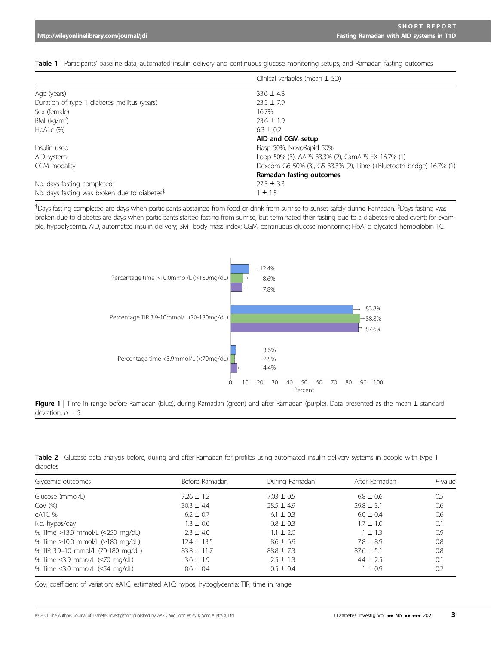|                                                 | Clinical variables (mean $\pm$ SD)                                   |
|-------------------------------------------------|----------------------------------------------------------------------|
| Age (years)                                     | $33.6 \pm 4.8$                                                       |
| Duration of type 1 diabetes mellitus (years)    | $23.5 \pm 7.9$                                                       |
| Sex (female)                                    | 16.7%                                                                |
| BMI ( $kg/m2$ )                                 | $23.6 \pm 1.9$                                                       |
| $HbA1c$ $(%)$                                   | $6.3 \pm 0.2$                                                        |
|                                                 | AID and CGM setup                                                    |
| Insulin used                                    | Fiasp 50%, NovoRapid 50%                                             |
| AID system                                      | Loop 50% (3), AAPS 33.3% (2), CamAPS FX 16.7% (1)                    |
| CGM modality                                    | Dexcom G6 50% (3), G5 33.3% (2), Libre (+Bluetooth bridge) 16.7% (1) |
|                                                 | Ramadan fasting outcomes                                             |
| No. days fasting completed <sup>†</sup>         | $27.3 \pm 3.3$                                                       |
| No. days fasting was broken due to diabetes $‡$ | ±1.5                                                                 |

Table 1 | Participants' baseline data, automated insulin delivery and continuous glucose monitoring setups, and Ramadan fasting outcomes

† Days fasting completed are days when participants abstained from food or drink from sunrise to sunset safely during Ramadan. ‡ Days fasting was broken due to diabetes are days when participants started fasting from sunrise, but terminated their fasting due to a diabetes-related event; for example, hypoglycemia. AID, automated insulin delivery; BMI, body mass index; CGM, continuous glucose monitoring; HbA1c, glycated hemoglobin 1C.



Figure 1 | Time in range before Ramadan (blue), during Ramadan (green) and after Ramadan (purple). Data presented as the mean ± standard deviation,  $n = 5$ .

|          | Table 2   Glucose data analysis before, during and after Ramadan for profiles using automated insulin delivery systems in people with type 1 |  |  |  |  |  |  |  |
|----------|----------------------------------------------------------------------------------------------------------------------------------------------|--|--|--|--|--|--|--|
| diabetes |                                                                                                                                              |  |  |  |  |  |  |  |

| Glycemic outcomes                  | Before Ramadan  | During Ramadan | After Ramadan  | $P$ -value |
|------------------------------------|-----------------|----------------|----------------|------------|
| Glucose (mmol/L)                   | $7.26 \pm 1.2$  | $7.03 \pm 0.5$ | $6.8 \pm 0.6$  | 0.5        |
| $COV$ (%)                          | $30.3 \pm 4.4$  | $28.5 \pm 4.9$ | $29.8 \pm 3.1$ | 0.6        |
| eA1C %                             | $6.2 \pm 0.7$   | $6.1 \pm 0.3$  | $6.0 \pm 0.4$  | 0.6        |
| No. hypos/day                      | $1.3 \pm 0.6$   | $0.8 \pm 0.3$  | $1.7 \pm 1.0$  | 0.1        |
| % Time >13.9 mmol/L (<250 mg/dL)   | $2.3 \pm 4.0$   | $1.1 \pm 2.0$  | $1 \pm 1.3$    | 0.9        |
| % Time >10.0 mmol/L (>180 mg/dL)   | $12.4 \pm 13.5$ | $8.6 \pm 6.9$  | $7.8 \pm 8.9$  | 0.8        |
| % TIR 3.9-10 mmol/L (70-180 mg/dL) | $83.8 \pm 11.7$ | $88.8 \pm 7.3$ | $87.6 \pm 5.1$ | 0.8        |
| % Time <3.9 mmol/L (<70 mg/dL)     | $3.6 \pm 1.9$   | $2.5 \pm 1.3$  | $4.4 \pm 2.5$  | 0.1        |
| % Time <3.0 mmol/L (<54 mg/dL)     | $0.6 \pm 0.4$   | $0.5 \pm 0.4$  | $1 \pm 0.9$    | 0.2        |

CoV, coefficient of variation; eA1C, estimated A1C; hypos, hypoglycemia; TIR, time in range.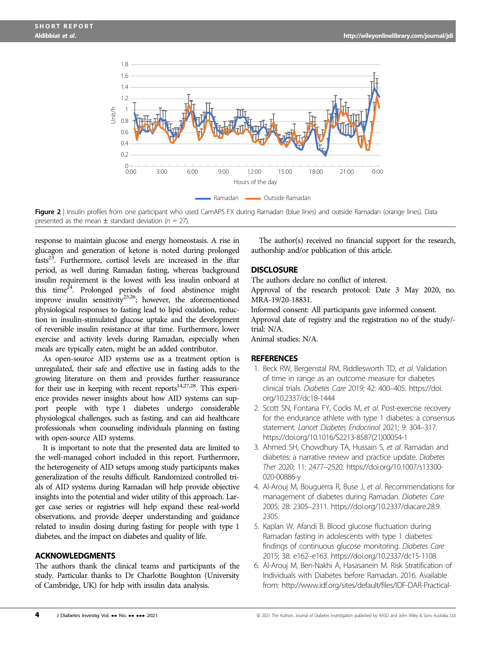

Figure 2 | Insulin profiles from one participant who used CamAPS FX during Ramadan (blue lines) and outside Ramadan (orange lines). Data presented as the mean  $\pm$  standard deviation ( $n = 27$ ).

response to maintain glucose and energy homeostasis. A rise in glucagon and generation of ketone is noted during prolonged fasts<sup>23</sup>. Furthermore, cortisol levels are increased in the iftar period, as well during Ramadan fasting, whereas background insulin requirement is the lowest with less insulin onboard at this time<sup> $\overline{24}$ </sup>. Prolonged periods of food abstinence might improve insulin sensitivity<sup>25,26</sup>; however, the aforementioned physiological responses to fasting lead to lipid oxidation, reduction in insulin-stimulated glucose uptake and the development of reversible insulin resistance at iftar time. Furthermore, lower exercise and activity levels during Ramadan, especially when meals are typically eaten, might be an added contributor.

As open-source AID systems use as a treatment option is unregulated, their safe and effective use in fasting adds to the growing literature on them and provides further reassurance for their use in keeping with recent reports $14,27,28$ . This experience provides newer insights about how AID systems can support people with type 1 diabetes undergo considerable physiological challenges, such as fasting, and can aid healthcare professionals when counseling individuals planning on fasting with open-source AID systems.

It is important to note that the presented data are limited to the well-managed cohort included in this report. Furthermore, the heterogeneity of AID setups among study participants makes generalization of the results difficult. Randomized controlled trials of AID systems during Ramadan will help provide objective insights into the potential and wider utility of this approach. Larger case series or registries will help expand these real-world observations, and provide deeper understanding and guidance related to insulin dosing during fasting for people with type 1 diabetes, and the impact on diabetes and quality of life.

## ACKNOWLEDGMENTS

The authors thank the clinical teams and participants of the study. Particular thanks to Dr Charlotte Boughton (University of Cambridge, UK) for help with insulin data analysis.

The author(s) received no financial support for the research, authorship and/or publication of this article.

#### **DISCLOSURE**

The authors declare no conflict of interest.

Approval of the research protocol: Date 3 May 2020, no. MRA-19/20-18831.

Informed consent: All participants gave informed consent. Approval date of registry and the registration no of the study/ trial: N/A.

Animal studies: N/A.

#### **REFERENCES**

- 1. Beck RW, Bergenstal RM, Riddlesworth TD, et al. Validation of time in range as an outcome measure for diabetes clinical trials. Diabetes Care 2019; 42: 400–405. [https://doi.](https://doi.org/10.2337/dc18-1444) [org/10.2337/dc18-1444](https://doi.org/10.2337/dc18-1444)
- 2. Scott SN, Fontana FY, Cocks M, et al. Post-exercise recovery for the endurance athlete with type 1 diabetes: a consensus statement. Lancet Diabetes Endocrinol 2021; 9: 304–317. [https://doi.org/10.1016/S2213-8587\(21\)00054-1](https://doi.org/10.1016/S2213-8587(21)00054-1)
- 3. Ahmed SH, Chowdhury TA, Hussain S, et al. Ramadan and diabetes: a narrative review and practice update. Diabetes Ther 2020; 11: 2477–2520. [https://doi.org/10.1007/s13300-](https://doi.org/10.1007/s13300-020-00886-y) [020-00886-y](https://doi.org/10.1007/s13300-020-00886-y)
- 4. Al-Arouj M, Bouguerra R, Buse J, et al. Recommendations for management of diabetes during Ramadan. Diabetes Care 2005; 28: 2305–2311. [https://doi.org/10.2337/diacare.28.9.](https://doi.org/10.2337/diacare.28.9.2305) [2305](https://doi.org/10.2337/diacare.28.9.2305).
- 5. Kaplan W, Afandi B. Blood glucose fluctuation during Ramadan fasting in adolescents with type 1 diabetes: findings of continuous glucose monitoring. Diabetes Care 2015; 38: e162–e163.<https://doi.org/10.2337/dc15-1108>
- 6. Al-Arouj M, Ben-Nakhi A, Hasasanein M. Risk Stratification of Individuals with Diabetes before Ramadan. 2016. Available from: [http://www.idf.org/sites/default/files/IDF-DAR-Practical-](http://www.idf.org/sites/default/files/IDF%2010DAR%2010Practical%2010Guidelines%2010Final%2010Low.pdf%5Cnwww.idf.org/guidelines/diabetes%2010in%2010ramadan%5Cnwww.daralliance.org)